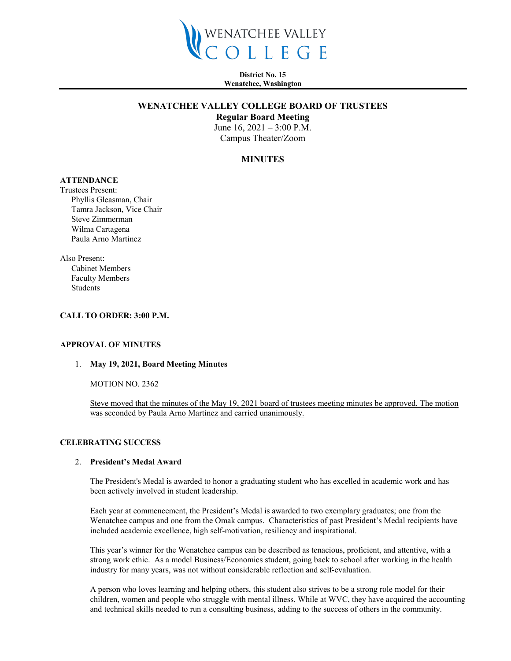

**District No. 15 Wenatchee, Washington**

## **WENATCHEE VALLEY COLLEGE BOARD OF TRUSTEES**

**Regular Board Meeting** June 16,  $2021 - 3:00$  P.M.

Campus Theater/Zoom

# **MINUTES**

# **ATTENDANCE**

Trustees Present: Phyllis Gleasman, Chair Tamra Jackson, Vice Chair Steve Zimmerman Wilma Cartagena Paula Arno Martinez

Also Present: Cabinet Members Faculty Members Students

## **CALL TO ORDER: 3:00 P.M.**

#### **APPROVAL OF MINUTES**

#### 1. **May 19, 2021, Board Meeting Minutes**

MOTION NO. 2362

Steve moved that the minutes of the May 19, 2021 board of trustees meeting minutes be approved. The motion was seconded by Paula Arno Martinez and carried unanimously.

#### **CELEBRATING SUCCESS**

#### 2. **President's Medal Award**

The President's Medal is awarded to honor a graduating student who has excelled in academic work and has been actively involved in student leadership.

Each year at commencement, the President's Medal is awarded to two exemplary graduates; one from the Wenatchee campus and one from the Omak campus. Characteristics of past President's Medal recipients have included academic excellence, high self-motivation, resiliency and inspirational.

This year's winner for the Wenatchee campus can be described as tenacious, proficient, and attentive, with a strong work ethic. As a model Business/Economics student, going back to school after working in the health industry for many years, was not without considerable reflection and self-evaluation.

A person who loves learning and helping others, this student also strives to be a strong role model for their children, women and people who struggle with mental illness. While at WVC, they have acquired the accounting and technical skills needed to run a consulting business, adding to the success of others in the community.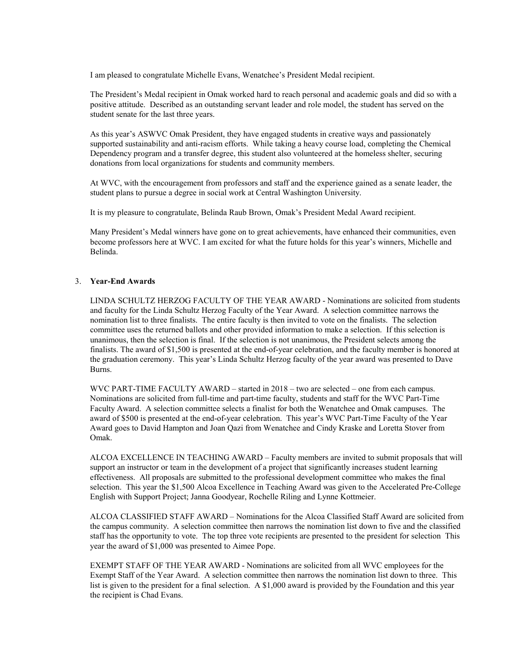I am pleased to congratulate Michelle Evans, Wenatchee's President Medal recipient.

The President's Medal recipient in Omak worked hard to reach personal and academic goals and did so with a positive attitude. Described as an outstanding servant leader and role model, the student has served on the student senate for the last three years.

As this year's ASWVC Omak President, they have engaged students in creative ways and passionately supported sustainability and anti-racism efforts. While taking a heavy course load, completing the Chemical Dependency program and a transfer degree, this student also volunteered at the homeless shelter, securing donations from local organizations for students and community members.

At WVC, with the encouragement from professors and staff and the experience gained as a senate leader, the student plans to pursue a degree in social work at Central Washington University.

It is my pleasure to congratulate, Belinda Raub Brown, Omak's President Medal Award recipient.

Many President's Medal winners have gone on to great achievements, have enhanced their communities, even become professors here at WVC. I am excited for what the future holds for this year's winners, Michelle and Belinda.

#### 3. **Year-End Awards**

LINDA SCHULTZ HERZOG FACULTY OF THE YEAR AWARD - Nominations are solicited from students and faculty for the Linda Schultz Herzog Faculty of the Year Award. A selection committee narrows the nomination list to three finalists. The entire faculty is then invited to vote on the finalists. The selection committee uses the returned ballots and other provided information to make a selection. If this selection is unanimous, then the selection is final. If the selection is not unanimous, the President selects among the finalists. The award of \$1,500 is presented at the end-of-year celebration, and the faculty member is honored at the graduation ceremony. This year's Linda Schultz Herzog faculty of the year award was presented to Dave Burns.

WVC PART-TIME FACULTY AWARD – started in 2018 – two are selected – one from each campus. Nominations are solicited from full-time and part-time faculty, students and staff for the WVC Part-Time Faculty Award. A selection committee selects a finalist for both the Wenatchee and Omak campuses. The award of \$500 is presented at the end-of-year celebration. This year's WVC Part-Time Faculty of the Year Award goes to David Hampton and Joan Qazi from Wenatchee and Cindy Kraske and Loretta Stover from Omak.

ALCOA EXCELLENCE IN TEACHING AWARD – Faculty members are invited to submit proposals that will support an instructor or team in the development of a project that significantly increases student learning effectiveness. All proposals are submitted to the professional development committee who makes the final selection. This year the \$1,500 Alcoa Excellence in Teaching Award was given to the Accelerated Pre-College English with Support Project; Janna Goodyear, Rochelle Riling and Lynne Kottmeier.

ALCOA CLASSIFIED STAFF AWARD – Nominations for the Alcoa Classified Staff Award are solicited from the campus community. A selection committee then narrows the nomination list down to five and the classified staff has the opportunity to vote. The top three vote recipients are presented to the president for selection This year the award of \$1,000 was presented to Aimee Pope.

EXEMPT STAFF OF THE YEAR AWARD - Nominations are solicited from all WVC employees for the Exempt Staff of the Year Award. A selection committee then narrows the nomination list down to three. This list is given to the president for a final selection. A \$1,000 award is provided by the Foundation and this year the recipient is Chad Evans.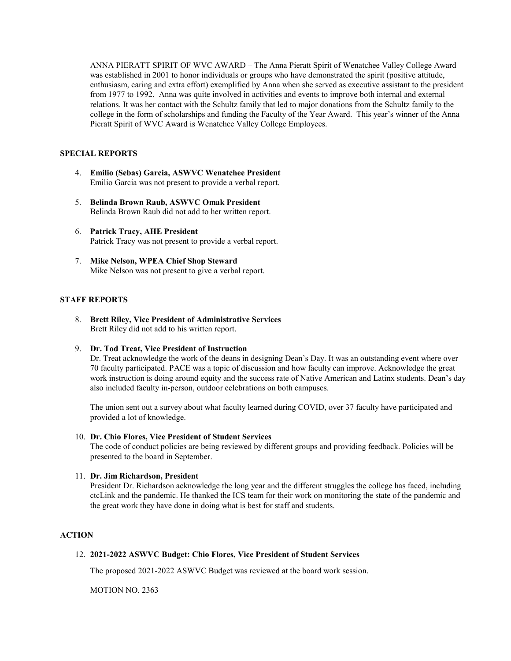ANNA PIERATT SPIRIT OF WVC AWARD – The Anna Pieratt Spirit of Wenatchee Valley College Award was established in 2001 to honor individuals or groups who have demonstrated the spirit (positive attitude, enthusiasm, caring and extra effort) exemplified by Anna when she served as executive assistant to the president from 1977 to 1992. Anna was quite involved in activities and events to improve both internal and external relations. It was her contact with the Schultz family that led to major donations from the Schultz family to the college in the form of scholarships and funding the Faculty of the Year Award. This year's winner of the Anna Pieratt Spirit of WVC Award is Wenatchee Valley College Employees.

## **SPECIAL REPORTS**

- 4. **Emilio (Sebas) Garcia, ASWVC Wenatchee President** Emilio Garcia was not present to provide a verbal report.
- 5. **Belinda Brown Raub, ASWVC Omak President** Belinda Brown Raub did not add to her written report.
- 6. **Patrick Tracy, AHE President** Patrick Tracy was not present to provide a verbal report.
- 7. **Mike Nelson, WPEA Chief Shop Steward** Mike Nelson was not present to give a verbal report.

## **STAFF REPORTS**

- 8. **Brett Riley, Vice President of Administrative Services** Brett Riley did not add to his written report.
- 9. **Dr. Tod Treat, Vice President of Instruction**

Dr. Treat acknowledge the work of the deans in designing Dean's Day. It was an outstanding event where over 70 faculty participated. PACE was a topic of discussion and how faculty can improve. Acknowledge the great work instruction is doing around equity and the success rate of Native American and Latinx students. Dean's day also included faculty in-person, outdoor celebrations on both campuses.

The union sent out a survey about what faculty learned during COVID, over 37 faculty have participated and provided a lot of knowledge.

## 10. **Dr. Chio Flores, Vice President of Student Services**

The code of conduct policies are being reviewed by different groups and providing feedback. Policies will be presented to the board in September.

#### 11. **Dr. Jim Richardson, President**

President Dr. Richardson acknowledge the long year and the different struggles the college has faced, including ctcLink and the pandemic. He thanked the ICS team for their work on monitoring the state of the pandemic and the great work they have done in doing what is best for staff and students.

## **ACTION**

#### 12. **2021-2022 ASWVC Budget: Chio Flores, Vice President of Student Services**

The proposed 2021-2022 ASWVC Budget was reviewed at the board work session.

MOTION NO. 2363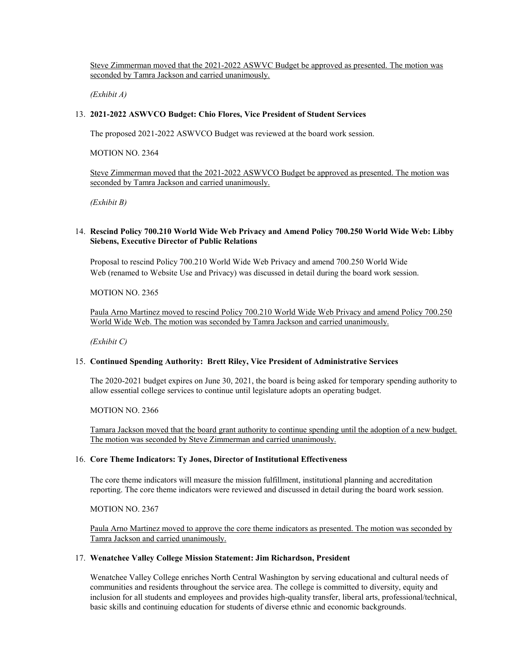Steve Zimmerman moved that the 2021-2022 ASWVC Budget be approved as presented. The motion was seconded by Tamra Jackson and carried unanimously.

*(Exhibit A)*

## 13. **2021-2022 ASWVCO Budget: Chio Flores, Vice President of Student Services**

The proposed 2021-2022 ASWVCO Budget was reviewed at the board work session.

MOTION NO. 2364

Steve Zimmerman moved that the 2021-2022 ASWVCO Budget be approved as presented. The motion was seconded by Tamra Jackson and carried unanimously.

*(Exhibit B)*

## 14. **Rescind Policy 700.210 World Wide Web Privacy and Amend Policy 700.250 World Wide Web: Libby Siebens, Executive Director of Public Relations**

Proposal to rescind Policy 700.210 World Wide Web Privacy and amend 700.250 World Wide Web (renamed to Website Use and Privacy) was discussed in detail during the board work session.

MOTION NO. 2365

Paula Arno Martinez moved to rescind Policy 700.210 World Wide Web Privacy and amend Policy 700.250 World Wide Web. The motion was seconded by Tamra Jackson and carried unanimously.

*(Exhibit C)*

#### 15. **Continued Spending Authority: Brett Riley, Vice President of Administrative Services**

The 2020-2021 budget expires on June 30, 2021, the board is being asked for temporary spending authority to allow essential college services to continue until legislature adopts an operating budget.

MOTION NO. 2366

Tamara Jackson moved that the board grant authority to continue spending until the adoption of a new budget. The motion was seconded by Steve Zimmerman and carried unanimously.

## 16. **Core Theme Indicators: Ty Jones, Director of Institutional Effectiveness**

The core theme indicators will measure the mission fulfillment, institutional planning and accreditation reporting. The core theme indicators were reviewed and discussed in detail during the board work session.

MOTION NO. 2367

Paula Arno Martinez moved to approve the core theme indicators as presented. The motion was seconded by Tamra Jackson and carried unanimously.

#### 17. **Wenatchee Valley College Mission Statement: Jim Richardson, President**

Wenatchee Valley College enriches North Central Washington by serving educational and cultural needs of communities and residents throughout the service area. The college is committed to diversity, equity and inclusion for all students and employees and provides high-quality transfer, liberal arts, professional/technical, basic skills and continuing education for students of diverse ethnic and economic backgrounds.